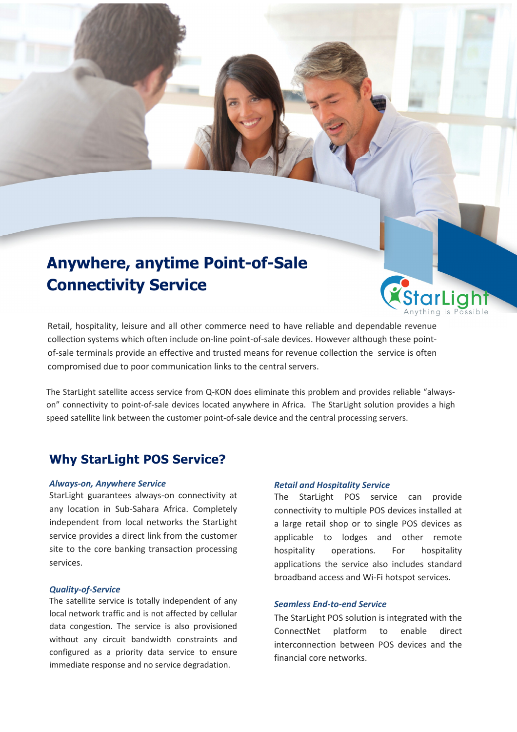# **Anywhere, anytime Point-of-Sale Connectivity Service**

Retail, hospitality, leisure and all other commerce need to have reliable and dependable revenue collection systems which often include on-line point-of-sale devices. However although these pointof-sale terminals provide an effective and trusted means for revenue collection the service is often compromised due to poor communication links to the central servers.

The StarLight satellite access service from Q-KON does eliminate this problem and provides reliable "alwayson" connectivity to point-of-sale devices located anywhere in Africa. The StarLight solution provides a high speed satellite link between the customer point-of-sale device and the central processing servers.

### **Why StarLight POS Service?**

#### *Always-on, Anywhere Service*

StarLight guarantees always-on connectivity at any location in Sub-Sahara Africa. Completely independent from local networks the StarLight service provides a direct link from the customer site to the core banking transaction processing services.

#### *Quality-of-Service*

The satellite service is totally independent of any local network traffic and is not affected by cellular data congestion. The service is also provisioned without any circuit bandwidth constraints and configured as a priority data service to ensure immediate response and no service degradation.

#### *Retail and Hospitality Service*

The StarLight POS service can provide connectivity to multiple POS devices installed at a large retail shop or to single POS devices as applicable to lodges and other remote hospitality operations. For hospitality applications the service also includes standard broadband access and Wi-Fi hotspot services.

Anvthing is P

#### *Seamless End-to-end Service*

The StarLight POS solution is integrated with the ConnectNet platform to enable direct interconnection between POS devices and the financial core networks.